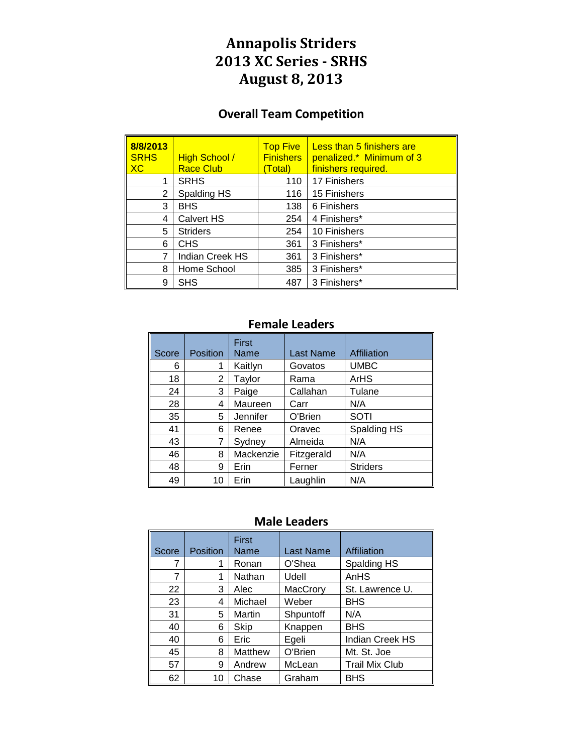# **Annapolis Striders 2013 XC Series - SRHS August 8, 2013**

### **Overall Team Competition**

| 8/8/2013<br><b>SRHS</b><br>X <sub>C</sub> | <b>High School /</b><br><b>Race Club</b> | <b>Top Five</b><br><b>Finishers</b><br>(Total) | Less than 5 finishers are<br>penalized.* Minimum of 3<br>finishers required. |
|-------------------------------------------|------------------------------------------|------------------------------------------------|------------------------------------------------------------------------------|
| 1                                         | <b>SRHS</b>                              | 110                                            | 17 Finishers                                                                 |
| 2                                         | Spalding HS                              | 116                                            | 15 Finishers                                                                 |
| 3                                         | <b>BHS</b>                               | 138                                            | 6 Finishers                                                                  |
| 4                                         | <b>Calvert HS</b>                        | 254                                            | 4 Finishers*                                                                 |
| 5                                         | <b>Striders</b>                          | 254                                            | 10 Finishers                                                                 |
| 6                                         | <b>CHS</b>                               | 361                                            | 3 Finishers*                                                                 |
| 7                                         | <b>Indian Creek HS</b>                   | 361                                            | 3 Finishers*                                                                 |
| 8                                         | Home School                              | 385                                            | 3 Finishers*                                                                 |
| 9                                         | <b>SHS</b>                               | 487                                            | 3 Finishers*                                                                 |

### **Female Leaders**

| Score | Position | First<br>Name | <b>Last Name</b> | Affiliation     |
|-------|----------|---------------|------------------|-----------------|
| 6     |          | Kaitlyn       | Govatos          | <b>UMBC</b>     |
| 18    | 2        | Taylor        | Rama             | ArHS            |
| 24    | 3        | Paige         | Callahan         | Tulane          |
| 28    | 4        | Maureen       | Carr             | N/A             |
| 35    | 5        | Jennifer      | O'Brien          | <b>SOTI</b>     |
| 41    | 6        | Renee         | Oravec           | Spalding HS     |
| 43    | 7        | Sydney        | Almeida          | N/A             |
| 46    | 8        | Mackenzie     | Fitzgerald       | N/A             |
| 48    | 9        | Erin          | Ferner           | <b>Striders</b> |
| 49    | 10       | Erin          | Laughlin         | N/A             |

#### **Male Leaders**

| Score | Position | First<br>Name | Last Name | Affiliation           |
|-------|----------|---------------|-----------|-----------------------|
| 7     |          | Ronan         | O'Shea    | Spalding HS           |
| 7     |          | Nathan        | Udell     | AnHS                  |
| 22    | 3        | Alec          | MacCrory  | St. Lawrence U.       |
| 23    | 4        | Michael       | Weber     | <b>BHS</b>            |
| 31    | 5        | Martin        | Shpuntoff | N/A                   |
| 40    | 6        | Skip          | Knappen   | <b>BHS</b>            |
| 40    | 6        | Eric          | Egeli     | Indian Creek HS       |
| 45    | 8        | Matthew       | O'Brien   | Mt. St. Joe           |
| 57    | 9        | Andrew        | McLean    | <b>Trail Mix Club</b> |
| 62    | 10       | Chase         | Graham    | <b>BHS</b>            |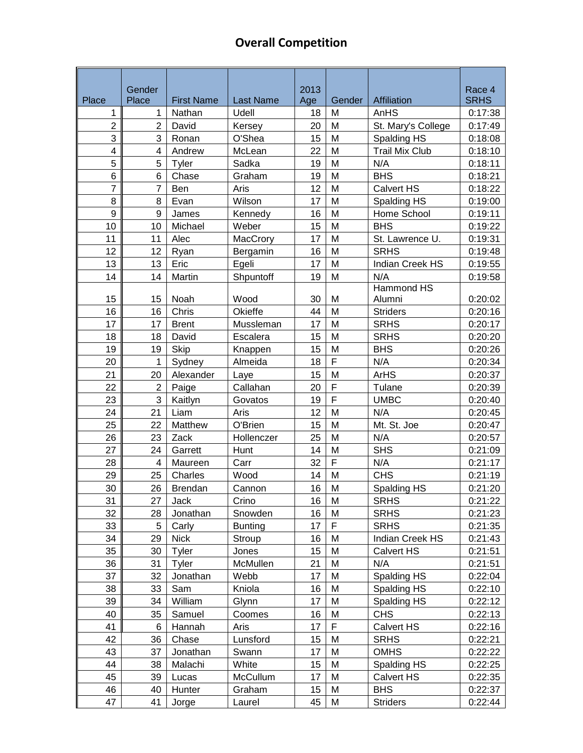## **Overall Competition**

|                | Gender                  |                   |                   | 2013 |                |                       | Race 4      |
|----------------|-------------------------|-------------------|-------------------|------|----------------|-----------------------|-------------|
| Place          | Place                   | <b>First Name</b> | <b>Last Name</b>  | Age  | Gender         | Affiliation           | <b>SRHS</b> |
| 1              | 1                       | Nathan            | Udell             | 18   | M              | AnHS                  | 0:17:38     |
| $\overline{c}$ | $\overline{2}$          | David             | Kersey            | 20   | M              | St. Mary's College    | 0:17:49     |
| 3              | 3                       | Ronan             | O'Shea            | 15   | M              | Spalding HS           | 0:18:08     |
| 4              | $\overline{\mathbf{4}}$ | Andrew            | McLean            | 22   | M              | <b>Trail Mix Club</b> | 0:18:10     |
| 5              | 5                       | Tyler             | Sadka             | 19   | M              | N/A                   | 0:18:11     |
| 6              | 6                       | Chase             | Graham            | 19   | M              | <b>BHS</b>            | 0:18:21     |
| $\overline{7}$ | 7                       | Ben               | Aris              | 12   | M              | <b>Calvert HS</b>     | 0:18:22     |
| 8              | 8                       | Evan              | Wilson            | 17   | M              | Spalding HS           | 0:19:00     |
| 9              | 9                       | James             | Kennedy           | 16   | M              | Home School           | 0:19:11     |
| 10             | 10                      | Michael           | Weber             | 15   | M              | <b>BHS</b>            | 0:19:22     |
| 11             | 11                      | Alec              | MacCrory          | 17   | M              | St. Lawrence U.       | 0:19:31     |
| 12             | 12                      | Ryan              | Bergamin          | 16   | M              | <b>SRHS</b>           | 0:19:48     |
| 13             | 13                      | Eric              | Egeli             | 17   | M              | Indian Creek HS       | 0:19:55     |
| 14             | 14                      | Martin            | Shpuntoff         | 19   | M              | N/A                   | 0:19:58     |
|                |                         |                   |                   |      |                | Hammond HS            |             |
| 15             | 15                      | Noah              | Wood              | 30   | M              | Alumni                | 0:20:02     |
| 16             | 16                      | Chris             | Okieffe           | 44   | M              | <b>Striders</b>       | 0:20:16     |
| 17             | 17                      | <b>Brent</b>      | Mussleman         | 17   | M              | <b>SRHS</b>           | 0:20:17     |
| 18             | 18                      | David             | Escalera          | 15   | M              | <b>SRHS</b>           | 0:20:20     |
| 19             | 19                      | <b>Skip</b>       | Knappen           | 15   | M              | <b>BHS</b>            | 0:20:26     |
| 20             | 1                       | Sydney            | Almeida           | 18   | $\overline{F}$ | N/A                   | 0:20:34     |
| 21             | 20                      | Alexander         | Laye              | 15   | M              | <b>ArHS</b>           | 0:20:37     |
| 22             | $\overline{2}$          | Paige             | Callahan          | 20   | F              | Tulane                | 0:20:39     |
| 23             | 3                       | Kaitlyn           | Govatos           | 19   | F              | <b>UMBC</b>           | 0:20:40     |
| 24             | 21                      | Liam              | Aris              | 12   | M              | N/A                   | 0:20:45     |
| 25             | 22                      | Matthew           | O'Brien           | 15   | M              | Mt. St. Joe           | 0:20:47     |
| 26             | 23                      | Zack              | Hollenczer        | 25   | M              | N/A                   | 0:20:57     |
| 27             | 24                      | Garrett           | Hunt              | 14   | M              | <b>SHS</b>            | 0:21:09     |
| 28             | $\overline{4}$          | Maureen           | Carr              | 32   | F              | N/A                   | 0:21:17     |
| 29             | 25                      | Charles           | Wood              | 14   | M              | <b>CHS</b>            | 0:21:19     |
| 30             | 26                      | <b>Brendan</b>    | Cannon            | 16   | M              | Spalding HS           | 0:21:20     |
| 31             | 27                      | Jack              | Crino             | 16   | M              | <b>SRHS</b>           | 0:21:22     |
| 32             | 28                      | Jonathan          | Snowden           | 16   | M              | <b>SRHS</b>           | 0:21:23     |
| 33             | 5                       | Carly             | <b>Bunting</b>    | 17   | F              | <b>SRHS</b>           | 0:21:35     |
| 34             | 29                      | <b>Nick</b>       | Stroup            | 16   | M              | Indian Creek HS       | 0:21:43     |
| 35             | 30                      | Tyler             |                   | 15   | M              | <b>Calvert HS</b>     | 0:21:51     |
| 36             | 31                      | Tyler             | Jones<br>McMullen | 21   | M              | N/A                   |             |
| 37             | 32                      |                   |                   | 17   |                |                       | 0:21:51     |
|                |                         | Jonathan          | Webb              |      | M              | Spalding HS           | 0:22:04     |
| 38             | 33                      | Sam               | Kniola            | 16   | M              | Spalding HS           | 0:22:10     |
| 39             | 34                      | William           | Glynn             | 17   | M              | Spalding HS           | 0:22:12     |
| 40             | 35                      | Samuel            | Coomes            | 16   | M              | <b>CHS</b>            | 0:22:13     |
| 41             | 6                       | Hannah            | Aris              | 17   | F              | Calvert HS            | 0:22:16     |
| 42             | 36                      | Chase             | Lunsford          | 15   | M              | <b>SRHS</b>           | 0:22:21     |
| 43             | 37                      | Jonathan          | Swann             | 17   | M              | OMHS                  | 0:22:22     |
| 44             | 38                      | Malachi           | White             | 15   | M              | Spalding HS           | 0:22:25     |
| 45             | 39                      | Lucas             | McCullum          | 17   | M              | Calvert HS            | 0:22:35     |
| 46             | 40                      | Hunter            | Graham            | 15   | M              | <b>BHS</b>            | 0:22:37     |
| 47             | 41                      | Jorge             | Laurel            | 45   | M              | <b>Striders</b>       | 0:22:44     |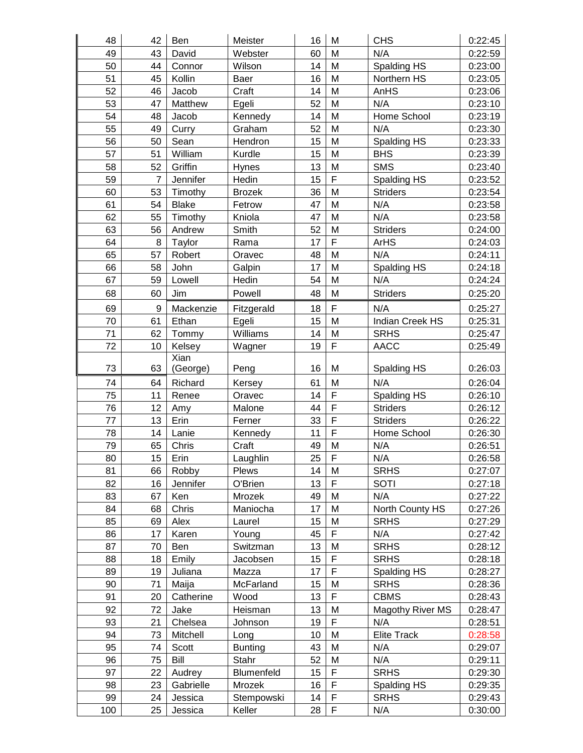| 48  | 42             | Ben          | Meister        | 16 | M           | <b>CHS</b>             | 0:22:45 |
|-----|----------------|--------------|----------------|----|-------------|------------------------|---------|
| 49  | 43             | David        | Webster        | 60 | M           | N/A                    | 0:22:59 |
| 50  | 44             | Connor       | Wilson         | 14 | M           | Spalding HS            | 0:23:00 |
| 51  | 45             | Kollin       | Baer           | 16 | M           | Northern HS            | 0:23:05 |
| 52  | 46             | Jacob        | Craft          | 14 | M           | AnHS                   | 0:23:06 |
| 53  | 47             | Matthew      | Egeli          | 52 | M           | N/A                    | 0:23:10 |
| 54  | 48             | Jacob        | Kennedy        | 14 | M           | Home School            | 0:23:19 |
| 55  | 49             | Curry        | Graham         | 52 | M           | N/A                    | 0:23:30 |
| 56  | 50             | Sean         | Hendron        | 15 | M           | Spalding HS            | 0:23:33 |
| 57  | 51             | William      | Kurdle         | 15 | M           | <b>BHS</b>             | 0:23:39 |
| 58  | 52             | Griffin      | Hynes          | 13 | M           | <b>SMS</b>             | 0:23:40 |
| 59  | $\overline{7}$ | Jennifer     | Hedin          | 15 | F           | Spalding HS            | 0:23:52 |
| 60  | 53             | Timothy      | <b>Brozek</b>  | 36 | M           | <b>Striders</b>        | 0:23:54 |
| 61  | 54             | <b>Blake</b> | Fetrow         | 47 | M           | N/A                    | 0:23:58 |
| 62  | 55             | Timothy      | Kniola         | 47 | M           | N/A                    | 0:23:58 |
| 63  | 56             | Andrew       | Smith          | 52 | M           | <b>Striders</b>        | 0:24:00 |
| 64  | 8              | Taylor       | Rama           | 17 | F           | <b>ArHS</b>            | 0:24:03 |
| 65  | 57             | Robert       | Oravec         | 48 | M           | N/A                    | 0:24:11 |
| 66  | 58             | John         | Galpin         | 17 | M           | Spalding HS            | 0:24:18 |
| 67  | 59             | Lowell       | Hedin          | 54 | M           | N/A                    | 0:24:24 |
| 68  | 60             | Jim          | Powell         | 48 | M           | <b>Striders</b>        | 0:25:20 |
| 69  | 9              | Mackenzie    | Fitzgerald     | 18 | F           | N/A                    | 0:25:27 |
| 70  | 61             | Ethan        | Egeli          | 15 | M           | <b>Indian Creek HS</b> | 0:25:31 |
| 71  | 62             | Tommy        | Williams       | 14 | M           | <b>SRHS</b>            | 0:25:47 |
| 72  | 10             | Kelsey       | Wagner         | 19 | F           | <b>AACC</b>            | 0:25:49 |
|     |                | Xian         |                |    |             |                        |         |
| 73  | 63             | (George)     | Peng           | 16 | M           | Spalding HS            | 0:26:03 |
| 74  | 64             | Richard      | Kersey         | 61 | M           | N/A                    | 0:26:04 |
| 75  | 11             | Renee        | Oravec         | 14 | F           | Spalding HS            | 0:26:10 |
| 76  | 12             | Amy          | Malone         | 44 | F           | <b>Striders</b>        | 0:26:12 |
| 77  | 13             | Erin         | Ferner         | 33 | F           | <b>Striders</b>        | 0:26:22 |
| 78  | 14             | Lanie        | Kennedy        | 11 | F           | Home School            | 0:26:30 |
| 79  | 65             | Chris        | Craft          | 49 | M           | N/A                    | 0:26:51 |
| 80  | 15             | Erin         | Laughlin       | 25 | F           | N/A                    | 0:26:58 |
| 81  | 66             | Robby        | Plews          | 14 | M           | <b>SRHS</b>            | 0:27:07 |
| 82  | 16             | Jennifer     | O'Brien        | 13 | $\mathsf F$ | <b>SOTI</b>            | 0:27:18 |
| 83  | 67             | Ken          | Mrozek         | 49 | M           | N/A                    | 0:27:22 |
| 84  | 68             | Chris        | Maniocha       | 17 | M           | North County HS        | 0:27:26 |
| 85  | 69             | Alex         | Laurel         | 15 | M           | <b>SRHS</b>            | 0:27:29 |
| 86  | 17             | Karen        | Young          | 45 | $\mathsf F$ | N/A                    | 0:27:42 |
| 87  | 70             | Ben          | Switzman       | 13 | M           | <b>SRHS</b>            | 0:28:12 |
| 88  | 18             | Emily        | Jacobsen       | 15 | $\mathsf F$ | <b>SRHS</b>            | 0:28:18 |
| 89  | 19             | Juliana      | Mazza          | 17 | $\mathsf F$ | Spalding HS            | 0:28:27 |
| 90  | 71             | Maija        | McFarland      | 15 | M           | <b>SRHS</b>            | 0:28:36 |
| 91  | 20             | Catherine    | Wood           | 13 | $\mathsf F$ | <b>CBMS</b>            | 0:28:43 |
| 92  | 72             | Jake         | Heisman        | 13 | M           | Magothy River MS       | 0:28:47 |
| 93  | 21             | Chelsea      | Johnson        | 19 | $\mathsf F$ | N/A                    | 0:28:51 |
| 94  | 73             | Mitchell     | Long           | 10 | M           | <b>Elite Track</b>     | 0:28:58 |
| 95  | 74             | Scott        | <b>Bunting</b> | 43 | M           | N/A                    | 0:29:07 |
| 96  | 75             | Bill         | Stahr          | 52 | M           | N/A                    | 0:29:11 |
| 97  | 22             | Audrey       | Blumenfeld     | 15 | $\mathsf F$ | <b>SRHS</b>            | 0:29:30 |
| 98  | 23             | Gabrielle    | Mrozek         | 16 | $\mathsf F$ | Spalding HS            | 0:29:35 |
| 99  | 24             | Jessica      | Stempowski     | 14 | $\mathsf F$ | <b>SRHS</b>            | 0:29:43 |
| 100 | 25             | Jessica      | Keller         | 28 | $\mathsf F$ | N/A                    | 0:30:00 |